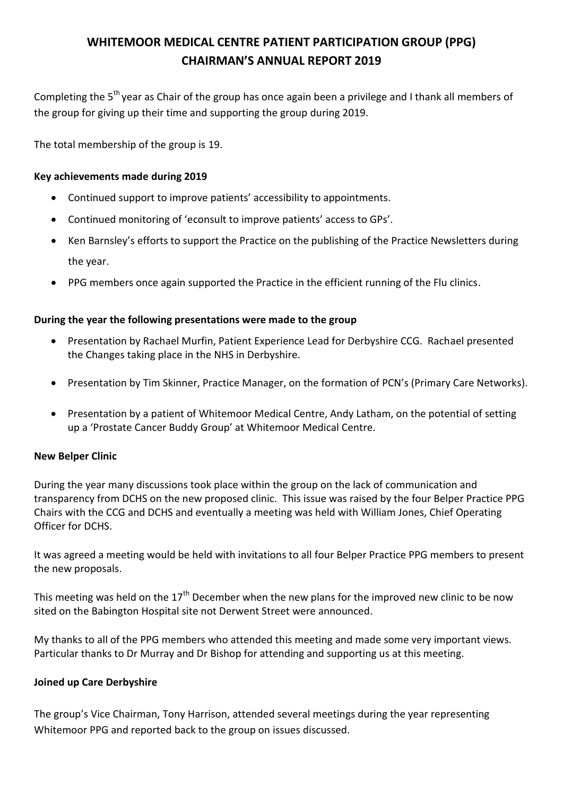# **WHITEMOOR MEDICAL CENTRE PATIENT PARTICIPATION GROUP (PPG) CHAIRMAN'S ANNUAL REPORT 2019**

Completing the 5<sup>th</sup> year as Chair of the group has once again been a privilege and I thank all members of the group for giving up their time and supporting the group during 2019.

The total membership of the group is 19.

## **Key achievements made during 2019**

- Continued support to improve patients' accessibility to appointments.
- Continued monitoring of 'econsult to improve patients' access to GPs'.
- Ken Barnsley's efforts to support the Practice on the publishing of the Practice Newsletters during the year.
- PPG members once again supported the Practice in the efficient running of the Flu clinics.

## **During the year the following presentations were made to the group**

- Presentation by Rachael Murfin, Patient Experience Lead for Derbyshire CCG. Rachael presented the Changes taking place in the NHS in Derbyshire.
- Presentation by Tim Skinner, Practice Manager, on the formation of PCN's (Primary Care Networks).
- Presentation by a patient of Whitemoor Medical Centre, Andy Latham, on the potential of setting up a 'Prostate Cancer Buddy Group' at Whitemoor Medical Centre.

## **New Belper Clinic**

During the year many discussions took place within the group on the lack of communication and transparency from DCHS on the new proposed clinic. This issue was raised by the four Belper Practice PPG Chairs with the CCG and DCHS and eventually a meeting was held with William Jones, Chief Operating Officer for DCHS.

It was agreed a meeting would be held with invitations to all four Belper Practice PPG members to present the new proposals.

This meeting was held on the  $17<sup>th</sup>$  December when the new plans for the improved new clinic to be now sited on the Babington Hospital site not Derwent Street were announced.

My thanks to all of the PPG members who attended this meeting and made some very important views. Particular thanks to Dr Murray and Dr Bishop for attending and supporting us at this meeting.

## **Joined up Care Derbyshire**

The group's Vice Chairman, Tony Harrison, attended several meetings during the year representing Whitemoor PPG and reported back to the group on issues discussed.